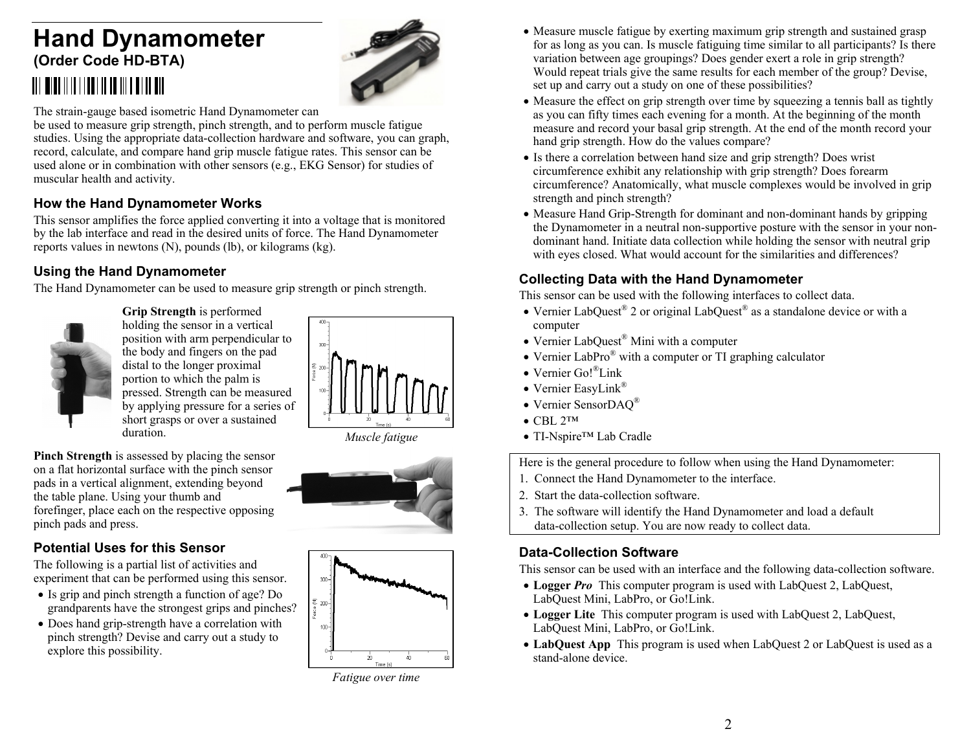# **Hand Dynamometer (Order Code HD-BTA)**



The strain-gauge based isometric Hand Dynamometer can

be used to measure grip strength, pinch strength, and to perform muscle fatigue studies. Using the appropriate data-collection hardware and software, you can graph, record, calculate, and compare hand grip muscle fatigue rates. This sensor can be used alone or in combination with other sensors (e.g., EKG Sensor) for studies of muscular health and activity.

## **How the Hand Dynamometer Works**

This sensor amplifies the force applied converting it into a voltage that is monitored by the lab interface and read in the desired units of force. The Hand Dynamometer reports values in newtons (N), pounds (lb), or kilograms (kg).

#### **Using the Hand Dynamometer**

The Hand Dynamometer can be used to measure grip strength or pinch strength.



**Grip Strength** is performed holding the sensor in a vertical position with arm perpendicular to the body and fingers on the pad distal to the longer proximal portion to which the palm is pressed. Strength can be measured by applying pressure for a series of short grasps or over a sustained duration.



*Muscle fatigue*

**Pinch Strength** is assessed by placing the sensor on a flat horizontal surface with the pinch sensor pads in a vertical alignment, extending beyond the table plane. Using your thumb and forefinger, place each on the respective opposing pinch pads and press.



#### **Potential Uses for this Sensor**

The following is a partial list of activities and experiment that can be performed using this sensor.

- Is grip and pinch strength a function of age? Do grandparents have the strongest grips and pinches?
- Does hand grip-strength have a correlation with pinch strength? Devise and carry out a study to explore this possibility.



*Fatigue over time*

- Measure muscle fatigue by exerting maximum grip strength and sustained grasp for as long as you can. Is muscle fatiguing time similar to all participants? Is there variation between age groupings? Does gender exert a role in grip strength? Would repeat trials give the same results for each member of the group? Devise, set up and carry out a study on one of these possibilities?
- Measure the effect on grip strength over time by squeezing a tennis ball as tightly as you can fifty times each evening for a month. At the beginning of the month measure and record your basal grip strength. At the end of the month record your hand grip strength. How do the values compare?
- Is there a correlation between hand size and grip strength? Does wrist circumference exhibit any relationship with grip strength? Does forearm circumference? Anatomically, what muscle complexes would be involved in grip strength and pinch strength?
- Measure Hand Grip-Strength for dominant and non-dominant hands by gripping the Dynamometer in a neutral non-supportive posture with the sensor in your nondominant hand. Initiate data collection while holding the sensor with neutral grip with eyes closed. What would account for the similarities and differences?

## **Collecting Data with the Hand Dynamometer**

This sensor can be used with the following interfaces to collect data.

- Vernier LabQuest® 2 or original LabQuest® as a standalone device or with a computer
- Vernier LabQuest® Mini with a computer
- Vernier LabPro<sup>®</sup> with a computer or TI graphing calculator
- Vernier Go!<sup>®</sup>Link
- Vernier EasyLink®
- Vernier SensorDAQ®
- $\bullet$  CBL 2™
- TI-Nspire<sup>™</sup> Lab Cradle

Here is the general procedure to follow when using the Hand Dynamometer:

- 1. Connect the Hand Dynamometer to the interface.
- 2. Start the data-collection software.
- 3. The software will identify the Hand Dynamometer and load a default data-collection setup. You are now ready to collect data.

#### **Data-Collection Software**

This sensor can be used with an interface and the following data-collection software.

- Logger *Pro* This computer program is used with LabQuest 2, LabQuest, LabQuest Mini, LabPro, or Go!Link.
- Logger Lite This computer program is used with LabQuest 2, LabQuest, LabQuest Mini, LabPro, or Go!Link.
- **LabQuest App** This program is used when LabQuest 2 or LabQuest is used as a stand-alone device.